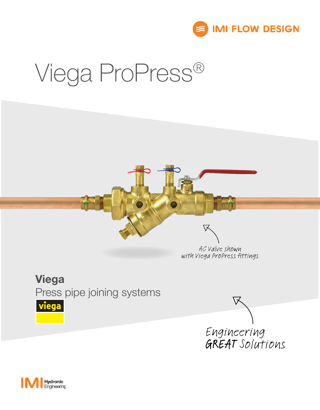

# Viega ProPress®

#### AC Valve shown with Viega ProPress fittings

▽

### Viega

Press pipe joining systems





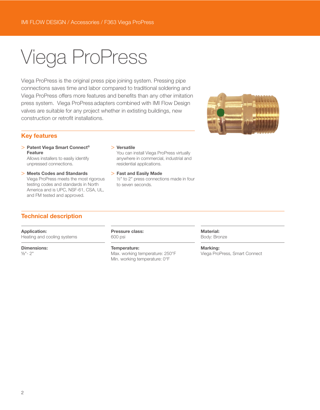## Viega ProPress

Viega ProPress is the original press pipe joining system. Pressing pipe connections saves time and labor compared to traditional soldering and Viega ProPress offers more features and benefits than any other imitation press system. Viega ProPress adapters combined with IMI Flow Design valves are suitable for any project whether in extisting buildings, new construction or retrofit installations.



#### Key features

> Patent Viega Smart Connect® Feature

Allows installers to easily identify unpressed connections.

> Meets Codes and Standards Viega ProPress meets the most rigorous testing codes and standards in North America and is UPC, NSF-61, CSA, UL, and FM tested and approved.

#### > Versatile

You can install Viega ProPress virtually anywhere in commercial, industrial and residential applications.

> Fast and Easily Made ½" to 2" press connections made in four to seven seconds.

#### Technical description

Application: Heating and cooling systems

Dimensions: ½"- 2"

Pressure class: 600 psi

#### Temperature:

Max. working temperature: 250°F Min. working temperature: 0°F

Material: Body: Bronze

Marking: Viega ProPress, Smart Connect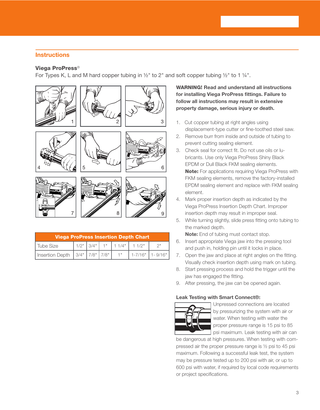#### **Instructions**

#### Viega ProPress®

For Types K, L and M hard copper tubing in ½" to 2" and soft copper tubing ½" to 1 ¼".



| <b>Viega ProPress Insertion Depth Chart</b>                   |  |  |  |  |                                       |  |  |
|---------------------------------------------------------------|--|--|--|--|---------------------------------------|--|--|
| Tube Size                                                     |  |  |  |  | $1/2$ " $3/4$ " $1$ " $1/4$ " $1/2$ " |  |  |
| Insertion Depth   3/4"   7/8"   7/8"   1"   1-7/16"   1-9/16" |  |  |  |  |                                       |  |  |

WARNING! Read and understand all instructions for installing Viega ProPress fittings. Failure to follow all instructions may result in extensive property damage, serious injury or death.

- 1. Cut copper tubing at right angles using displacement-type cutter or fine-toothed steel saw.
- 2. Remove burr from inside and outside of tubing to prevent cutting sealing element.
- 3. Check seal for correct fit. Do not use oils or lubricants. Use only Viega ProPress Shiny Black EPDM or Dull Black FKM sealing elements. **Note:** For applications requiring Viega ProPress with FKM sealing elements, remove the factory-installed EPDM sealing element and replace with FKM sealing element.
- 4. Mark proper insertion depth as indicated by the Viega ProPress Insertion Depth Chart. Improper insertion depth may result in improper seal.
- 5. While turning slightly, slide press fitting onto tubing to the marked depth.

Note: End of tubing must contact stop.

- 6. Insert appropriate Viega jaw into the pressing tool and push in, holding pin until it locks in place.
- 7. Open the jaw and place at right angles on the fitting. Visually check insertion depth using mark on tubing.
- 8. Start pressing process and hold the trigger until the jaw has engaged the fitting.
- 9. After pressing, the jaw can be opened again.

#### Leak Testing with Smart Connect®:



Unpressed connections are located by pressurizing the system with air or water. When testing with water the proper pressure range is 15 psi to 85 psi maximum. Leak testing with air can

be dangerous at high pressures. When testing with compressed air the proper pressure range is ½ psi to 45 psi maximum. Following a successful leak test, the system may be pressure tested up to 200 psi with air, or up to 600 psi with water, if required by local code requirements or project specifications.